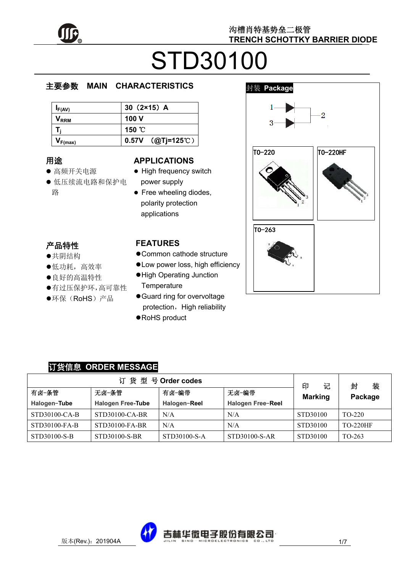

# STD30100

#### e  $\overline{\phantom{a}}$ 主要参数 **MAIN CHARACTERISTICS**

| $I_{F(AV)}$                 | 30 $(2×15)$ A       |
|-----------------------------|---------------------|
| $\mathsf{V}_{\mathsf{RRM}}$ | 100 V               |
| т.                          | 150 °C              |
| $\mathbf{V}_{F(max)}$       | $0.57V$ (@Tj=125°C) |

## 用途

- ……<br>● 高频开关电源
- יי<br>ר 低压续流电路和保护电 r. 路

#### **APPLICATIONS**

- High frequency switch power supply
- Free wheeling diodes, polarity protection applications

## 产品特性

- , H-191±<br>●共阴结构
- 大切地市<br>●低功耗,高效率
- ●良好的高温特性
- 有过压保护环,高可靠性
- $\hat{\cdot}$  $\overline{a}$ ●环保(RoHS)产品

#### **FEATURES**

- Common cathode structure
- Low power loss, high efficiency
- High Operating Junction **Temperature**
- Guard ring for overvoltage protection, High reliability
- ●RoHS product



### 订货信息 **ORDER MESSAGE**

| 订货型号Order codes |                          |              |                   |                          | 装<br>封          |
|-----------------|--------------------------|--------------|-------------------|--------------------------|-----------------|
| 有卤-条管           | 无卤-条管                    | 有卤−编带        | 无卤−编带             | 印<br>记<br><b>Marking</b> | Package         |
| Halogen-Tube    | <b>Halogen Free-Tube</b> | Halogen-Reel | Halogen Free-Reel |                          |                 |
| STD30100-CA-B   | STD30100-CA-BR           | N/A          | N/A               | STD30100                 | TO-220          |
| STD30100-FA-B   | STD30100-FA-BR           | N/A          | N/A               | STD30100                 | <b>TO-220HF</b> |
| STD30100-S-B    | STD30100-S-BR            | STD30100-S-A | STD30100-S-AR     | STD30100                 | TO-263          |

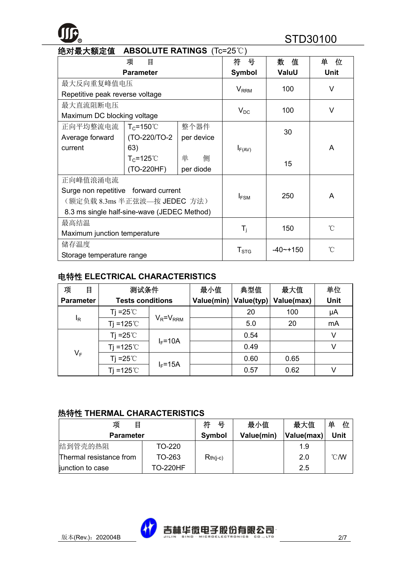# **R** STD30100

| 绝对最大额定值<br><b>ABSOLUTE RATINGS</b> (Tc=25°C) |                       |            |                           |             |             |
|----------------------------------------------|-----------------------|------------|---------------------------|-------------|-------------|
|                                              | 项<br>目                |            | 뮹<br>符                    | 值<br>数      | 单<br>位      |
|                                              | <b>Parameter</b>      |            | <b>Symbol</b>             | ValuU       | <b>Unit</b> |
| 最大反向重复峰值电压                                   |                       |            |                           | 100         | $\vee$      |
| Repetitive peak reverse voltage              |                       |            | <b>V</b> <sub>RRM</sub>   |             |             |
| 最大直流阻断电压                                     |                       |            |                           | 100         | V           |
| Maximum DC blocking voltage                  |                       |            | $V_{DC}$                  |             |             |
| 正向平均整流电流                                     | $T_c = 150^{\circ}$ C | 整个器件       |                           | 30          |             |
| Average forward                              | (TO-220/TO-2)         | per device |                           |             |             |
| current                                      | 63)                   |            | $I_{F(AV)}$               |             | A           |
|                                              | $T_c = 125^\circ C$   | 单<br>侧     |                           | 15          |             |
| (TO-220HF)<br>per diode                      |                       |            |                           |             |             |
| 正向峰值浪涌电流                                     |                       |            |                           |             |             |
| Surge non repetitive forward current         |                       |            |                           | 250         | A           |
| (额定负载 8.3ms 半正弦波—按 JEDEC 方法)                 |                       | $I_{FSM}$  |                           |             |             |
| 8.3 ms single half-sine-wave (JEDEC Method)  |                       |            |                           |             |             |
| 最高结温                                         |                       |            | $^{\circ}$ C              |             |             |
| Maximum junction temperature                 |                       |            | $\mathsf{T}_{\mathsf{i}}$ | 150         |             |
| 储存温度                                         |                       |            |                           | $-40$ ~+150 | °C          |
| Storage temperature range                    |                       |            | T <sub>STG</sub>          |             |             |

#### 电特性 **ELECTRICAL CHARACTERISTICS**

| 项<br>目           | 测试条件                    |                 | 最小值        | 典型值        | 最大值        | 单位          |
|------------------|-------------------------|-----------------|------------|------------|------------|-------------|
| <b>Parameter</b> | <b>Tests conditions</b> |                 | Value(min) | Value(typ) | Value(max) | <b>Unit</b> |
|                  | Ti =25 $\degree$ C      |                 |            | 20         | 100        | μA          |
| $I_R$            | Ti=125 $°C$             | $V_R = V_{RRM}$ |            | 5.0        | 20         | mA          |
|                  | Tj =25 $\degree$ C      |                 |            | 0.54       |            | V           |
|                  | Ti =125 $°C$            | $I_F = 10A$     |            | 0.49       |            | v           |
| $V_F$            | Tj =25 $\degree$ C      |                 |            | 0.60       | 0.65       |             |
|                  | Ti =125 $°C$            | $I_F = 15A$     |            | 0.57       | 0.62       |             |

#### 热特性 **THERMAL CHARACTERISTICS**

| 项<br>目                  |                 | 符<br>묵     | 最小值        | 最大值        | 单<br>位         |
|-------------------------|-----------------|------------|------------|------------|----------------|
| <b>Parameter</b>        |                 | Symbol     | Value(min) | Value(max) | Unit           |
| 结到管壳的热阻                 | TO-220          |            |            | 1.9        |                |
| Thermal resistance from | TO-263          | $Rth(i-c)$ |            | 2.0        | $^{\circ}$ CMV |
| junction to case        | <b>TO-220HF</b> |            |            | 2.5        |                |

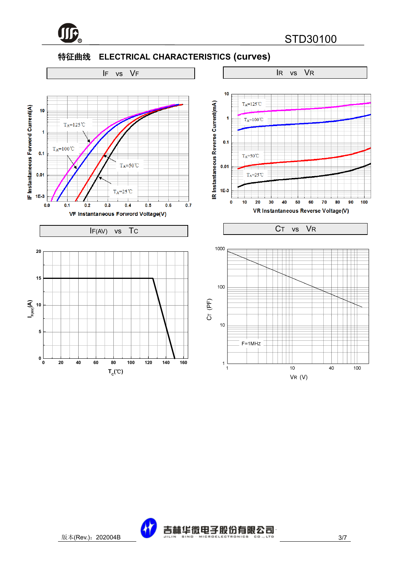

#### 特征曲线 **ELECTRICAL CHARACTERISTICS (curves)**



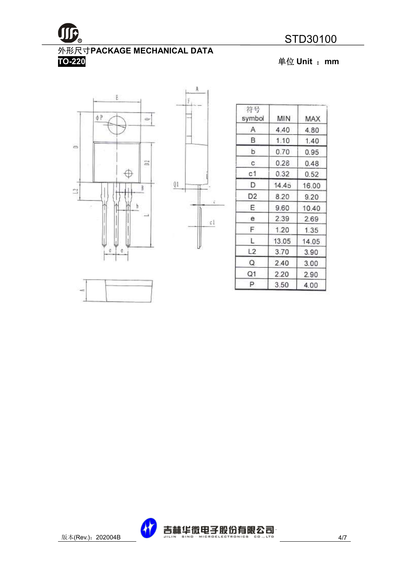

#### **TO-220** 单位 **Unit** :**mm**





A

| 符号<br>symbol | ΜIΝ   | MAX   |
|--------------|-------|-------|
| Α            | 4.40  | 4.80  |
| в            | 1.10  | 1.40  |
| b            | 0.70  | 0.95  |
| с            | 0.28  | 0.48  |
| c1           | 0.32  | 0.52  |
| D            | 14.45 | 16.00 |
| D2           | 8.20  | 9.20  |
| Ε            | 9.60  | 10.40 |
| е            | 2.39  | 2.69  |
| F            | 1.20  | 1.35  |
| L.           | 13.05 | 14.05 |
| L2           | 3.70  | 3.90  |
| Q            | 2.40  | 3.00  |
| Q1           | 2.20  | 2.90  |
| P            | 3.50  | 4.00  |



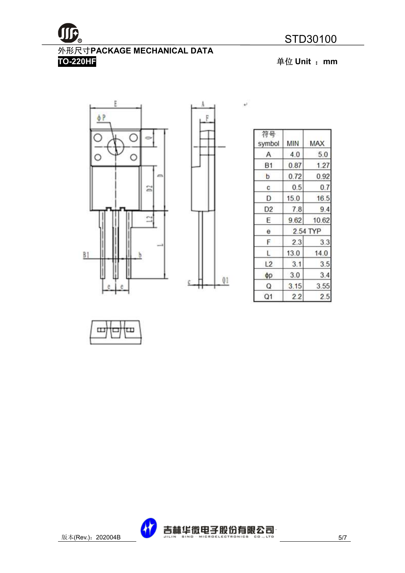# 外形尺寸**PACKAGE MECHANICAL DATA**

**TO-220HF** 单位 **Unit** :**mm**





1

 $\bullet^j$ 

| 符号<br>symbol   | MIN      | MAX   |  |
|----------------|----------|-------|--|
| $\mathsf{A}$   | 4.0      | 5.0   |  |
| <b>B1</b>      | 0.87     | 1.27  |  |
| b              | 0.72     | 0.92  |  |
| с              | 0.5      | 0.7   |  |
| D              | 15.0     | 16.5  |  |
| D2             | 7.8      | 9.4   |  |
| Ε              | 9.62     | 10.62 |  |
| е              | 2.54 TYP |       |  |
| F              | 2.3      | 3.3   |  |
| Ľ              | 13.0     | 14.0  |  |
| L <sub>2</sub> | 3.1      | 3.5   |  |
| фp             | 3.0      | 3.4   |  |
| Q              | 3.15     | 3.55  |  |
| Q1             | 2.2      | 2.5   |  |



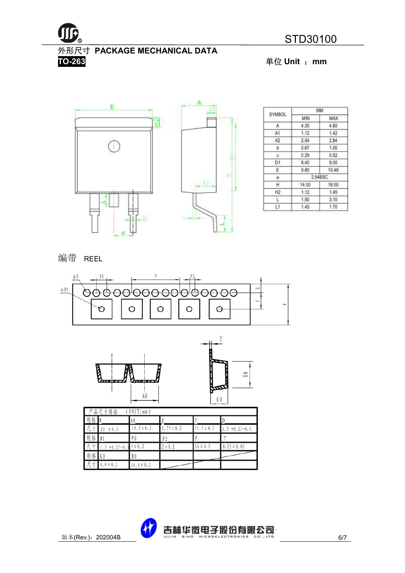

外形尺寸 **PACKAGE MECHANICAL DATA** 

**TO-263** 单位 **Unit** :**mm**



|                |               | MМ      |  |
|----------------|---------------|---------|--|
| <b>SYMBOL</b>  | MIN           | MAX     |  |
| A.             | 4.30          | 4.80    |  |
| A1             | 1.12          | 1.42    |  |
| A <sub>2</sub> | 2.54          | 2.84    |  |
| ь.             | 0.67          | 1.00    |  |
| c.             | 0.29          | 0.52    |  |
| D1             | 8.40          | 9.00    |  |
| Ε              | 9.80<br>10.46 |         |  |
| e              |               | 2.54BSC |  |
| н              | 14.00         | 16.00   |  |
| H <sub>2</sub> | 1.12          | 1.45    |  |
| U              | 1.50          | 3:10    |  |
| L1             | 1.70<br>1.45  |         |  |

编带 REEL





|                     | 品尺寸规格          | UNIT: mm       |                |               |                   |
|---------------------|----------------|----------------|----------------|---------------|-------------------|
| 规格                  |                | A 0            |                |               |                   |
| 尺<br>寸              | ± 0.3<br>24    | $10.9 \pm 0.2$ | $1.75 \pm 0.2$ | $1.5 \pm 0.2$ | .5<br>$+0.2/-0.1$ |
| 规格                  | $\mathbb{D}$   | P <sub>0</sub> | P <sub>2</sub> |               |                   |
| 天<br>π              | $+0.2/-0.$     | $4 \pm 0.2$    | $2 \pm 0.2$    | $6 \pm 0.2$   | $0.35 \pm 0.05$   |
| 规格                  | K0             | B <sub>0</sub> |                |               |                   |
| $\overline{R}$<br>寸 | $4, 9 \pm 0.2$ | $6.0 \pm 0.2$  |                |               |                   |